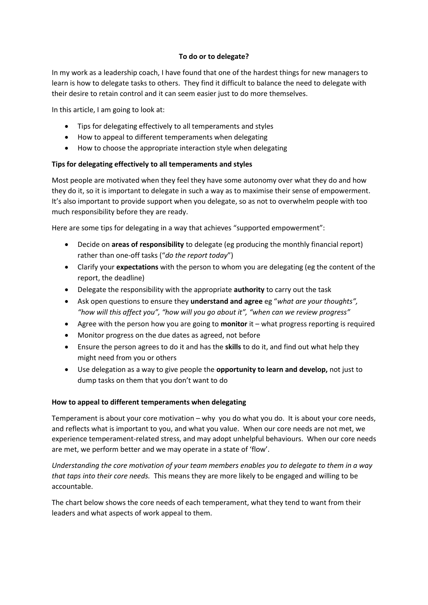## **To do or to delegate?**

In my work as a leadership coach, I have found that one of the hardest things for new managers to learn is how to delegate tasks to others. They find it difficult to balance the need to delegate with their desire to retain control and it can seem easier just to do more themselves.

In this article, I am going to look at:

- Tips for delegating effectively to all temperaments and styles
- How to appeal to different temperaments when delegating
- How to choose the appropriate interaction style when delegating

## **Tips for delegating effectively to all temperaments and styles**

Most people are motivated when they feel they have some autonomy over what they do and how they do it, so it is important to delegate in such a way as to maximise their sense of empowerment. It's also important to provide support when you delegate, so as not to overwhelm people with too much responsibility before they are ready.

Here are some tips for delegating in a way that achieves "supported empowerment":

- Decide on **areas of responsibility** to delegate (eg producing the monthly financial report) rather than one-off tasks ("*do the report today*")
- Clarify your **expectations** with the person to whom you are delegating (eg the content of the report, the deadline)
- Delegate the responsibility with the appropriate **authority** to carry out the task
- Ask open questions to ensure they **understand and agree** eg "*what are your thoughts", "how will this affect you", "how will you go about it", "when can we review progress"*
- Agree with the person how you are going to **monitor** it what progress reporting is required
- Monitor progress on the due dates as agreed, not before
- Ensure the person agrees to do it and has the **skills** to do it, and find out what help they might need from you or others
- Use delegation as a way to give people the **opportunity to learn and develop,** not just to dump tasks on them that you don't want to do

## **How to appeal to different temperaments when delegating**

Temperament is about your core motivation – why you do what you do. It is about your core needs, and reflects what is important to you, and what you value. When our core needs are not met, we experience temperament-related stress, and may adopt unhelpful behaviours. When our core needs are met, we perform better and we may operate in a state of 'flow'.

*Understanding the core motivation of your team members enables you to delegate to them in a way that taps into their core needs.* This means they are more likely to be engaged and willing to be accountable.

The chart below shows the core needs of each temperament, what they tend to want from their leaders and what aspects of work appeal to them.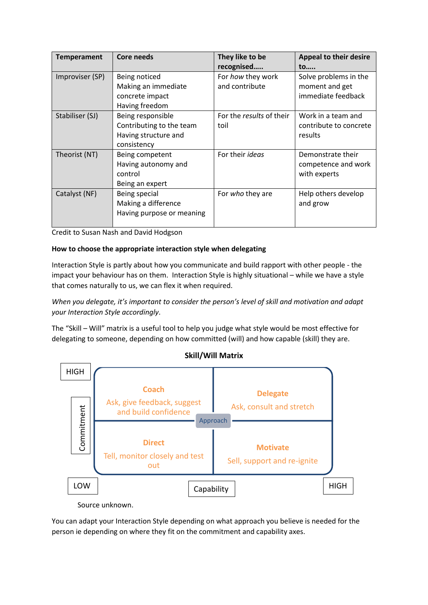| <b>Temperament</b> | <b>Core needs</b>         | They like to be          | <b>Appeal to their desire</b> |
|--------------------|---------------------------|--------------------------|-------------------------------|
|                    |                           | recognised               | to                            |
| Improviser (SP)    | Being noticed             | For how they work        | Solve problems in the         |
|                    | Making an immediate       | and contribute           | moment and get                |
|                    | concrete impact           |                          | immediate feedback            |
|                    | Having freedom            |                          |                               |
| Stabiliser (SJ)    | Being responsible         | For the results of their | Work in a team and            |
|                    | Contributing to the team  | toil                     | contribute to concrete        |
|                    | Having structure and      |                          | results                       |
|                    | consistency               |                          |                               |
| Theorist (NT)      | Being competent           | For their <i>ideas</i>   | Demonstrate their             |
|                    | Having autonomy and       |                          | competence and work           |
|                    | control                   |                          | with experts                  |
|                    | Being an expert           |                          |                               |
| Catalyst (NF)      | Being special             | For who they are         | Help others develop           |
|                    | Making a difference       |                          | and grow                      |
|                    | Having purpose or meaning |                          |                               |
|                    |                           |                          |                               |

Credit to Susan Nash and David Hodgson

## **How to choose the appropriate interaction style when delegating**

Interaction Style is partly about how you communicate and build rapport with other people - the impact your behaviour has on them. Interaction Style is highly situational – while we have a style that comes naturally to us, we can flex it when required.

*When you delegate, it's important to consider the person's level of skill and motivation and adapt your Interaction Style accordingly*.

The "Skill – Will" matrix is a useful tool to help you judge what style would be most effective for delegating to someone, depending on how committed (will) and how capable (skill) they are.





Source unknown.

You can adapt your Interaction Style depending on what approach you believe is needed for the person ie depending on where they fit on the commitment and capability axes.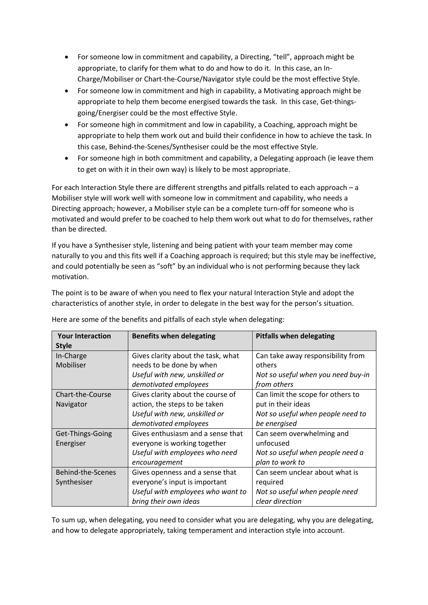- For someone low in commitment and capability, a Directing, "tell", approach might be appropriate, to clarify for them what to do and how to do it. In this case, an In-Charge/Mobiliser or Chart-the-Course/Navigator style could be the most effective Style.
- For someone low in commitment and high in capability, a Motivating approach might be appropriate to help them become energised towards the task. In this case, Get-thingsgoing/Energiser could be the most effective Style.
- For someone high in commitment and low in capability, a Coaching, approach might be appropriate to help them work out and build their confidence in how to achieve the task. In this case, Behind-the-Scenes/Synthesiser could be the most effective Style.
- For someone high in both commitment and capability, a Delegating approach (ie leave them to get on with it in their own way) is likely to be most appropriate.

For each Interaction Style there are different strengths and pitfalls related to each approach – a Mobiliser style will work well with someone low in commitment and capability, who needs a Directing approach; however, a Mobiliser style can be a complete turn-off for someone who is motivated and would prefer to be coached to help them work out what to do for themselves, rather than be directed.

If you have a Synthesiser style, listening and being patient with your team member may come naturally to you and this fits well if a Coaching approach is required; but this style may be ineffective, and could potentially be seen as "soft" by an individual who is not performing because they lack motivation.

The point is to be aware of when you need to flex your natural Interaction Style and adopt the characteristics of another style, in order to delegate in the best way for the person's situation.

| <b>Your Interaction</b> | <b>Benefits when delegating</b>    | <b>Pitfalls when delegating</b>    |
|-------------------------|------------------------------------|------------------------------------|
| <b>Style</b>            |                                    |                                    |
| In-Charge               | Gives clarity about the task, what | Can take away responsibility from  |
| Mobiliser               | needs to be done by when           | others                             |
|                         | Useful with new, unskilled or      | Not so useful when you need buy-in |
|                         | demotivated employees              | from others                        |
| <b>Chart-the-Course</b> | Gives clarity about the course of  | Can limit the scope for others to  |
| Navigator               | action, the steps to be taken      | put in their ideas                 |
|                         | Useful with new, unskilled or      | Not so useful when people need to  |
|                         | demotivated employees              | be energised                       |
| Get-Things-Going        | Gives enthusiasm and a sense that  | Can seem overwhelming and          |
| Energiser               | everyone is working together       | unfocused                          |
|                         | Useful with employees who need     | Not so useful when people need a   |
|                         | encouragement                      | plan to work to                    |
| Behind-the-Scenes       | Gives openness and a sense that    | Can seem unclear about what is     |
| Synthesiser             | everyone's input is important      | required                           |
|                         | Useful with employees who want to  | Not so useful when people need     |
|                         | bring their own ideas              | clear direction                    |

Here are some of the benefits and pitfalls of each style when delegating:

To sum up, when delegating, you need to consider what you are delegating, why you are delegating, and how to delegate appropriately, taking temperament and interaction style into account.